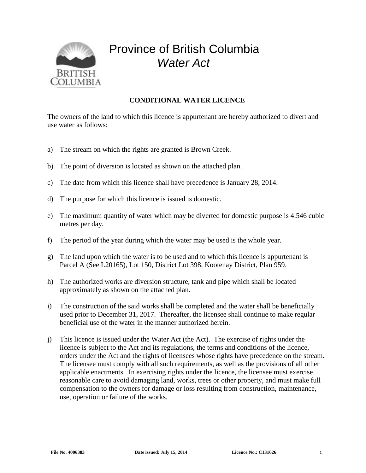

## Province of British Columbia *Water Act*

## **CONDITIONAL WATER LICENCE**

The owners of the land to which this licence is appurtenant are hereby authorized to divert and use water as follows:

- a) The stream on which the rights are granted is Brown Creek.
- b) The point of diversion is located as shown on the attached plan.
- c) The date from which this licence shall have precedence is January 28, 2014.
- d) The purpose for which this licence is issued is domestic.
- e) The maximum quantity of water which may be diverted for domestic purpose is 4.546 cubic metres per day.
- f) The period of the year during which the water may be used is the whole year.
- g) The land upon which the water is to be used and to which this licence is appurtenant is Parcel A (See L20165), Lot 150, District Lot 398, Kootenay District, Plan 959.
- h) The authorized works are diversion structure, tank and pipe which shall be located approximately as shown on the attached plan.
- i) The construction of the said works shall be completed and the water shall be beneficially used prior to December 31, 2017. Thereafter, the licensee shall continue to make regular beneficial use of the water in the manner authorized herein.
- j) This licence is issued under the Water Act (the Act). The exercise of rights under the licence is subject to the Act and its regulations, the terms and conditions of the licence, orders under the Act and the rights of licensees whose rights have precedence on the stream. The licensee must comply with all such requirements, as well as the provisions of all other applicable enactments. In exercising rights under the licence, the licensee must exercise reasonable care to avoid damaging land, works, trees or other property, and must make full compensation to the owners for damage or loss resulting from construction, maintenance, use, operation or failure of the works.